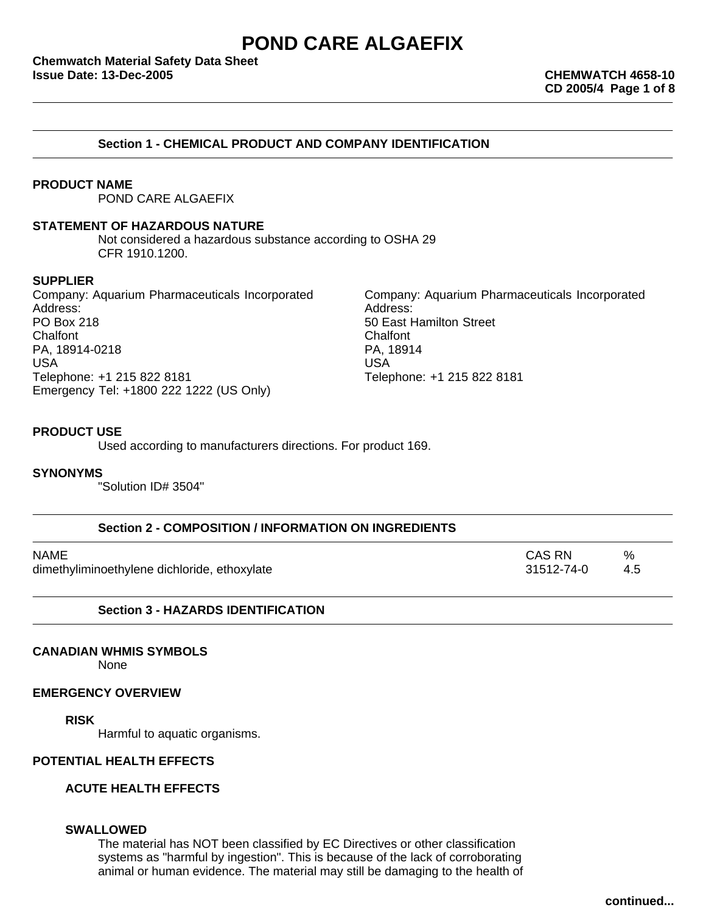**Chemwatch Material Safety Data Sheet Issue Date: 13-Dec-2005 CHEMWATCH 4658-10**

### **Section 1 - CHEMICAL PRODUCT AND COMPANY IDENTIFICATION**

### **PRODUCT NAME**

POND CARE ALGAEFIX

### **STATEMENT OF HAZARDOUS NATURE**

Not considered a hazardous substance according to OSHA 29 CFR 1910.1200.

### **SUPPLIER**

Company: Aquarium Pharmaceuticals Incorporated Company: Aquarium Pharmaceuticals Incorporated Address: Address: PO Box 218 **For a struck and the Character Street** Solution Street Chalfont Chalfont Chalfont Chalfont Chalfont Chalfont Chalfont Chalfont Chalfont Chalfont Chalfont Chalfont Chalfont Chalfont Chalfont Chalfont Chalfont Chalfont Chalfont Chalfont Chalfont Chalfont Chalfont Chalfont Chalfont Chalfont Chalfont Chalfo PA, 18914-0218 USA USA Telephone: +1 215 822 8181 Telephone: +1 215 822 8181 Emergency Tel: +1800 222 1222 (US Only)

### **PRODUCT USE**

Used according to manufacturers directions. For product 169.

#### **SYNONYMS**

"Solution ID# 3504"

| Section 2 - COMPOSITION / INFORMATION ON INGREDIENTS |            |     |  |
|------------------------------------------------------|------------|-----|--|
| NAME                                                 | CAS RN     | %   |  |
| dimethyliminoethylene dichloride, ethoxylate         | 31512-74-0 | 4.5 |  |

### **Section 3 - HAZARDS IDENTIFICATION**

### **CANADIAN WHMIS SYMBOLS**

None

### **EMERGENCY OVERVIEW**

### **RISK**

Harmful to aquatic organisms.

## **POTENTIAL HEALTH EFFECTS**

### **ACUTE HEALTH EFFECTS**

### **SWALLOWED**

The material has NOT been classified by EC Directives or other classification systems as "harmful by ingestion". This is because of the lack of corroborating animal or human evidence. The material may still be damaging to the health of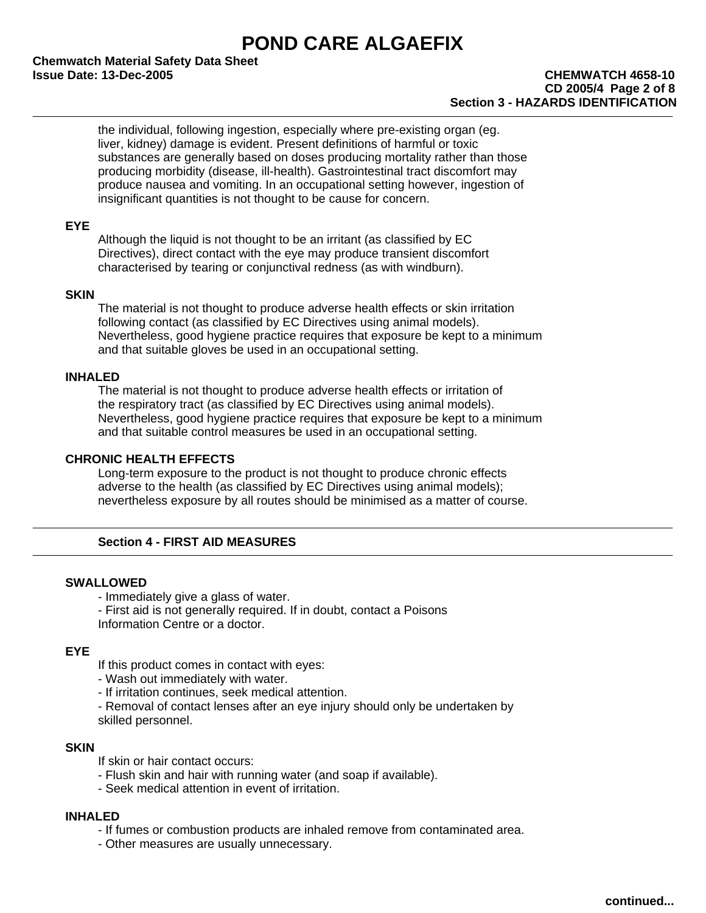**Chemwatch Material Safety Data Sheet Issue Date: 13-Dec-2005 CHEMWATCH 4658-10**

the individual, following ingestion, especially where pre-existing organ (eg. liver, kidney) damage is evident. Present definitions of harmful or toxic substances are generally based on doses producing mortality rather than those producing morbidity (disease, ill-health). Gastrointestinal tract discomfort may produce nausea and vomiting. In an occupational setting however, ingestion of insignificant quantities is not thought to be cause for concern.

# **EYE**

Although the liquid is not thought to be an irritant (as classified by EC Directives), direct contact with the eye may produce transient discomfort characterised by tearing or conjunctival redness (as with windburn).

### **SKIN**

The material is not thought to produce adverse health effects or skin irritation following contact (as classified by EC Directives using animal models). Nevertheless, good hygiene practice requires that exposure be kept to a minimum and that suitable gloves be used in an occupational setting.

### **INHALED**

The material is not thought to produce adverse health effects or irritation of the respiratory tract (as classified by EC Directives using animal models). Nevertheless, good hygiene practice requires that exposure be kept to a minimum and that suitable control measures be used in an occupational setting.

### **CHRONIC HEALTH EFFECTS**

Long-term exposure to the product is not thought to produce chronic effects adverse to the health (as classified by EC Directives using animal models); nevertheless exposure by all routes should be minimised as a matter of course.

# **Section 4 - FIRST AID MEASURES**

### **SWALLOWED**

- Immediately give a glass of water.

- First aid is not generally required. If in doubt, contact a Poisons

Information Centre or a doctor.

### **EYE**

If this product comes in contact with eyes:

- Wash out immediately with water.

- If irritation continues, seek medical attention.

- Removal of contact lenses after an eye injury should only be undertaken by skilled personnel.

## **SKIN**

If skin or hair contact occurs:

- Flush skin and hair with running water (and soap if available).
- Seek medical attention in event of irritation.

### **INHALED**

- If fumes or combustion products are inhaled remove from contaminated area.

- Other measures are usually unnecessary.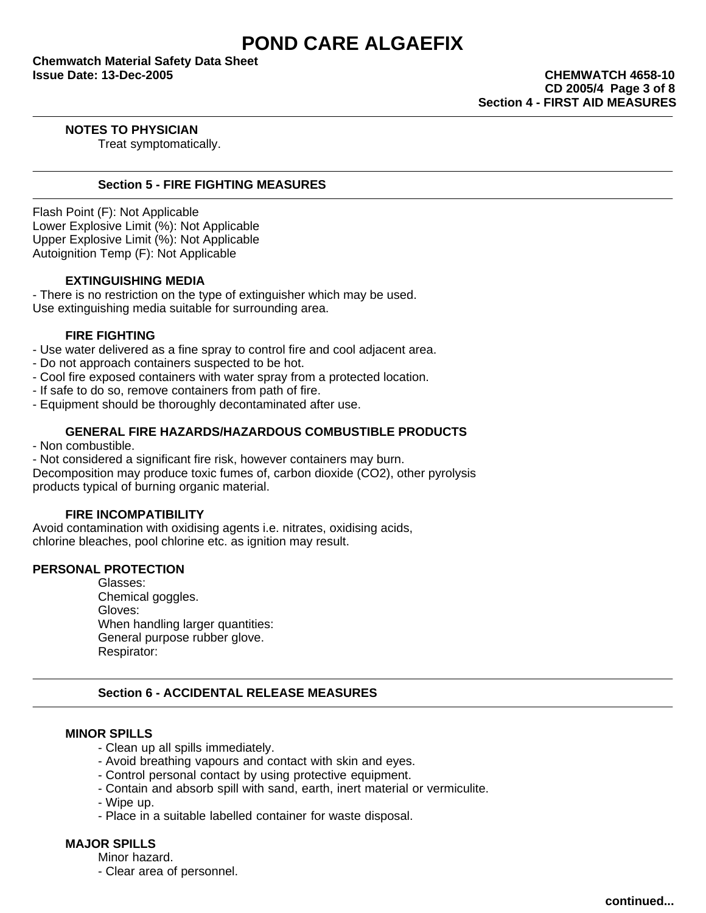**Chemwatch Material Safety Data Sheet Issue Date: 13-Dec-2005 CHEMWATCH 4658-10**

# **NOTES TO PHYSICIAN**

Treat symptomatically.

### **Section 5 - FIRE FIGHTING MEASURES**

Flash Point (F): Not Applicable Lower Explosive Limit (%): Not Applicable Upper Explosive Limit (%): Not Applicable Autoignition Temp (F): Not Applicable

## **EXTINGUISHING MEDIA**

- There is no restriction on the type of extinguisher which may be used. Use extinguishing media suitable for surrounding area.

## **FIRE FIGHTING**

- Use water delivered as a fine spray to control fire and cool adjacent area.

- Do not approach containers suspected to be hot.
- Cool fire exposed containers with water spray from a protected location.
- If safe to do so, remove containers from path of fire.
- Equipment should be thoroughly decontaminated after use.

### **GENERAL FIRE HAZARDS/HAZARDOUS COMBUSTIBLE PRODUCTS**

- Non combustible.
- Not considered a significant fire risk, however containers may burn.

Decomposition may produce toxic fumes of, carbon dioxide (CO2), other pyrolysis products typical of burning organic material.

### **FIRE INCOMPATIBILITY**

Avoid contamination with oxidising agents i.e. nitrates, oxidising acids, chlorine bleaches, pool chlorine etc. as ignition may result.

### **PERSONAL PROTECTION**

Glasses: Chemical goggles. Gloves: When handling larger quantities: General purpose rubber glove. Respirator:

## **Section 6 - ACCIDENTAL RELEASE MEASURES**

### **MINOR SPILLS**

- Clean up all spills immediately.
- Avoid breathing vapours and contact with skin and eyes.
- Control personal contact by using protective equipment.
- Contain and absorb spill with sand, earth, inert material or vermiculite.
- Wipe up.
- Place in a suitable labelled container for waste disposal.

# **MAJOR SPILLS**

Minor hazard.

- Clear area of personnel.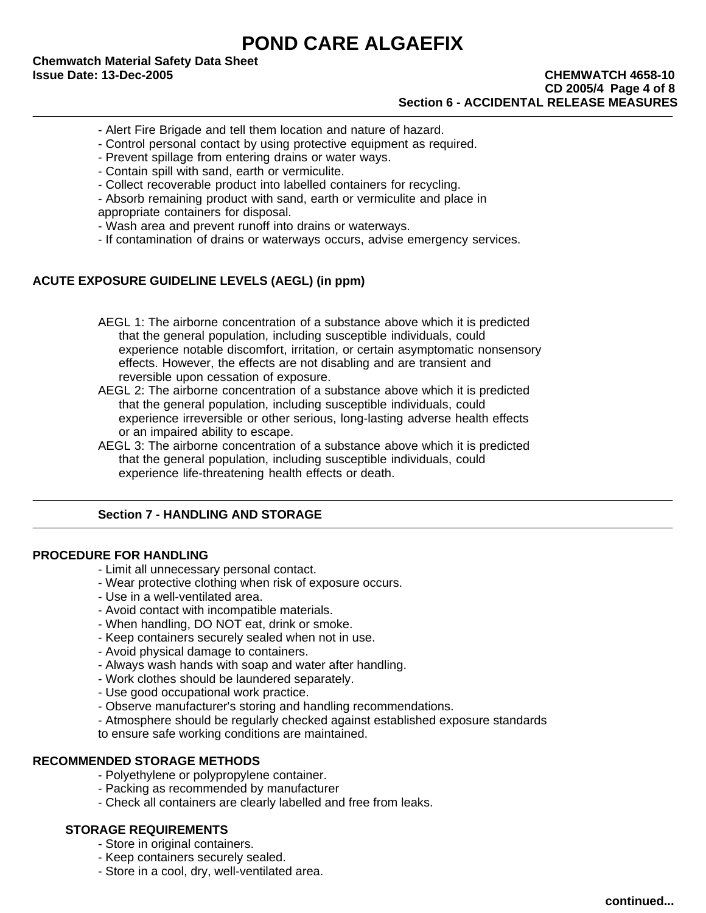**Chemwatch Material Safety Data Sheet Issue Date: 13-Dec-2005 CHEMWATCH 4658-10**

# **CD 2005/4 Page 4 of 8 Section 6 - ACCIDENTAL RELEASE MEASURES**

- Alert Fire Brigade and tell them location and nature of hazard.
- Control personal contact by using protective equipment as required.
- Prevent spillage from entering drains or water ways.
- Contain spill with sand, earth or vermiculite.
- Collect recoverable product into labelled containers for recycling.
- Absorb remaining product with sand, earth or vermiculite and place in appropriate containers for disposal.
- Wash area and prevent runoff into drains or waterways.
- If contamination of drains or waterways occurs, advise emergency services.

## **ACUTE EXPOSURE GUIDELINE LEVELS (AEGL) (in ppm)**

AEGL 1: The airborne concentration of a substance above which it is predicted that the general population, including susceptible individuals, could experience notable discomfort, irritation, or certain asymptomatic nonsensory effects. However, the effects are not disabling and are transient and reversible upon cessation of exposure.

AEGL 2: The airborne concentration of a substance above which it is predicted that the general population, including susceptible individuals, could experience irreversible or other serious, long-lasting adverse health effects or an impaired ability to escape.

AEGL 3: The airborne concentration of a substance above which it is predicted that the general population, including susceptible individuals, could experience life-threatening health effects or death.

# **Section 7 - HANDLING AND STORAGE**

### **PROCEDURE FOR HANDLING**

- Limit all unnecessary personal contact.
- Wear protective clothing when risk of exposure occurs.
- Use in a well-ventilated area.
- Avoid contact with incompatible materials.
- When handling, DO NOT eat, drink or smoke.
- Keep containers securely sealed when not in use.
- Avoid physical damage to containers.
- Always wash hands with soap and water after handling.
- Work clothes should be laundered separately.
- Use good occupational work practice.
- Observe manufacturer's storing and handling recommendations.
- Atmosphere should be regularly checked against established exposure standards

to ensure safe working conditions are maintained.

# **RECOMMENDED STORAGE METHODS**

- Polyethylene or polypropylene container.
- Packing as recommended by manufacturer
- Check all containers are clearly labelled and free from leaks.

# **STORAGE REQUIREMENTS**

- Store in original containers.
- Keep containers securely sealed.
- Store in a cool, dry, well-ventilated area.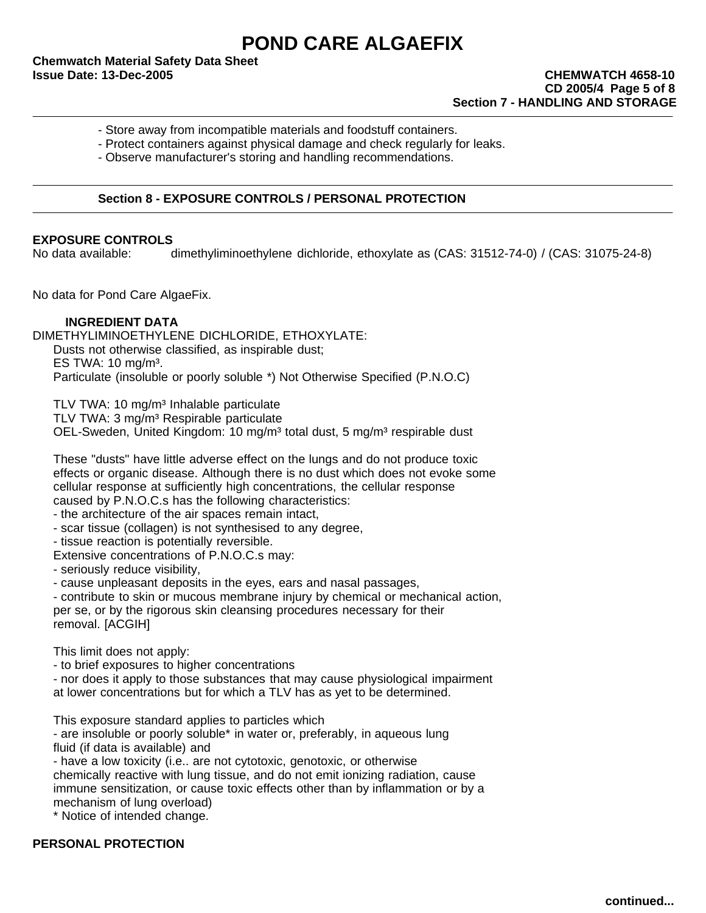**Chemwatch Material Safety Data Sheet Issue Date: 13-Dec-2005 CHEMWATCH 4658-10**

- Store away from incompatible materials and foodstuff containers.
- Protect containers against physical damage and check regularly for leaks.

- Observe manufacturer's storing and handling recommendations.

# **Section 8 - EXPOSURE CONTROLS / PERSONAL PROTECTION**

### **EXPOSURE CONTROLS**

No data available: dimethyliminoethylene dichloride, ethoxylate as (CAS: 31512-74-0) / (CAS: 31075-24-8)

No data for Pond Care AlgaeFix.

## **INGREDIENT DATA**

DIMETHYLIMINOETHYLENE DICHLORIDE, ETHOXYLATE: Dusts not otherwise classified, as inspirable dust; ES TWA:  $10 \text{ ma/m}^3$ . Particulate (insoluble or poorly soluble \*) Not Otherwise Specified (P.N.O.C)

TLV TWA: 10 mg/m<sup>3</sup> Inhalable particulate

TLV TWA: 3 mg/m<sup>3</sup> Respirable particulate

OEL-Sweden, United Kingdom: 10 mg/m<sup>3</sup> total dust, 5 mg/m<sup>3</sup> respirable dust

These "dusts" have little adverse effect on the lungs and do not produce toxic effects or organic disease. Although there is no dust which does not evoke some cellular response at sufficiently high concentrations, the cellular response caused by P.N.O.C.s has the following characteristics:

- the architecture of the air spaces remain intact,

- scar tissue (collagen) is not synthesised to any degree,

- tissue reaction is potentially reversible.

Extensive concentrations of P.N.O.C.s may:

- seriously reduce visibility,

- cause unpleasant deposits in the eyes, ears and nasal passages,

- contribute to skin or mucous membrane injury by chemical or mechanical action, per se, or by the rigorous skin cleansing procedures necessary for their removal. [ACGIH]

This limit does not apply:

- to brief exposures to higher concentrations

- nor does it apply to those substances that may cause physiological impairment at lower concentrations but for which a TLV has as yet to be determined.

This exposure standard applies to particles which

- are insoluble or poorly soluble\* in water or, preferably, in aqueous lung fluid (if data is available) and

- have a low toxicity (i.e.. are not cytotoxic, genotoxic, or otherwise

chemically reactive with lung tissue, and do not emit ionizing radiation, cause

immune sensitization, or cause toxic effects other than by inflammation or by a mechanism of lung overload)

\* Notice of intended change.

# **PERSONAL PROTECTION**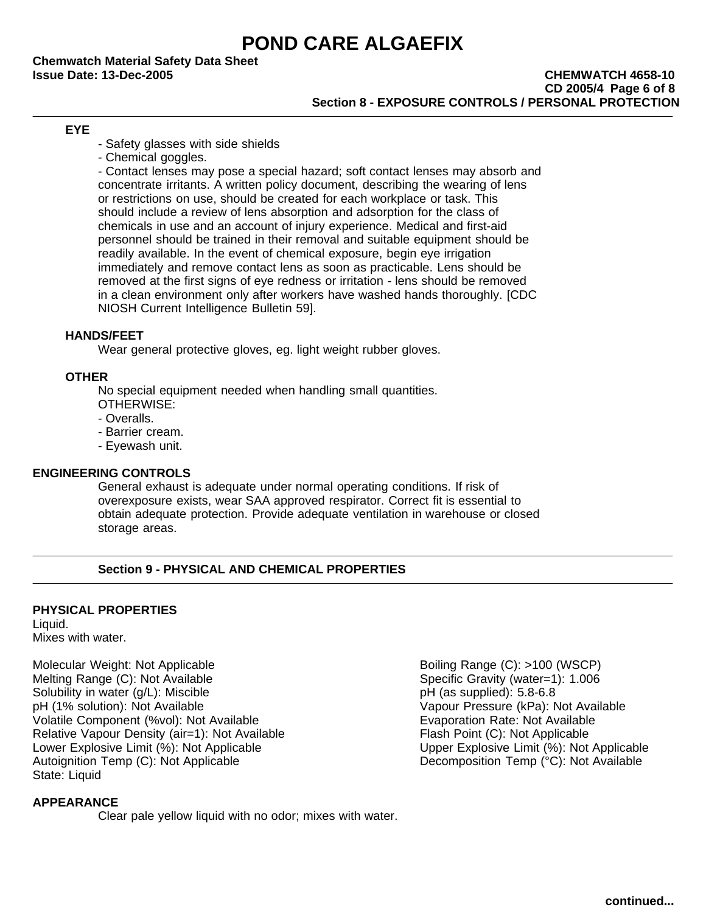**Chemwatch Material Safety Data Sheet**

## **Issue Date: 13-Dec-2005 CHEMWATCH 4658-10 CD 2005/4 Page 6 of 8 Section 8 - EXPOSURE CONTROLS / PERSONAL PROTECTION**

# **EYE**

- Safety glasses with side shields
- Chemical goggles.

- Contact lenses may pose a special hazard; soft contact lenses may absorb and concentrate irritants. A written policy document, describing the wearing of lens or restrictions on use, should be created for each workplace or task. This should include a review of lens absorption and adsorption for the class of chemicals in use and an account of injury experience. Medical and first-aid personnel should be trained in their removal and suitable equipment should be readily available. In the event of chemical exposure, begin eye irrigation immediately and remove contact lens as soon as practicable. Lens should be removed at the first signs of eye redness or irritation - lens should be removed in a clean environment only after workers have washed hands thoroughly. [CDC NIOSH Current Intelligence Bulletin 59].

## **HANDS/FEET**

Wear general protective gloves, eg. light weight rubber gloves.

## **OTHER**

No special equipment needed when handling small quantities. OTHERWISE:

- Overalls.
- Barrier cream.
- Eyewash unit.

# **ENGINEERING CONTROLS**

General exhaust is adequate under normal operating conditions. If risk of overexposure exists, wear SAA approved respirator. Correct fit is essential to obtain adequate protection. Provide adequate ventilation in warehouse or closed storage areas.

# **Section 9 - PHYSICAL AND CHEMICAL PROPERTIES**

# **PHYSICAL PROPERTIES**

Liquid. Mixes with water.

Molecular Weight: Not Applicable **Boiling Range (C): >100 (WSCP)** Boiling Range (C): >100 (WSCP) Melting Range (C): Not Available Specific Gravity (water=1): 1.006 Solubility in water (g/L): Miscible pH (as supplied): 5.8-6.8 pH (1% solution): Not Available Vapour Pressure (kPa): Not Available Volatile Component (%vol): Not Available Evaporation Rate: Not Available Relative Vapour Density (air=1): Not Available Flash Point (C): Not Applicable Lower Explosive Limit (%): Not Applicable Upper Explosive Limit (%): Not Applicable Autoignition Temp (C): Not Applicable **Decomposition Temp (°C):** Not Available State: Liquid

# **APPEARANCE**

Clear pale yellow liquid with no odor; mixes with water.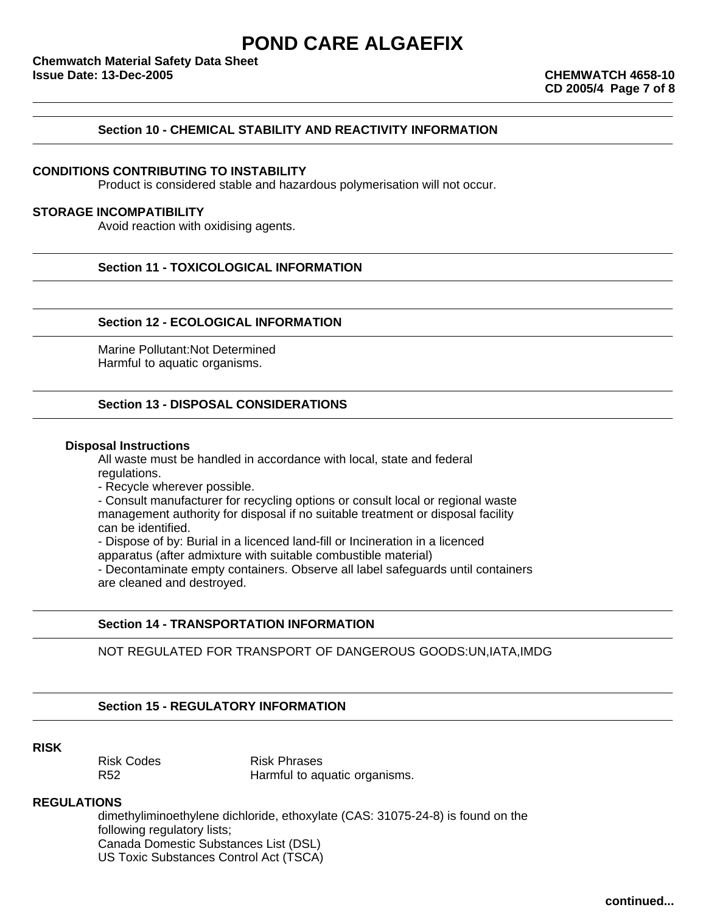# **Section 10 - CHEMICAL STABILITY AND REACTIVITY INFORMATION**

## **CONDITIONS CONTRIBUTING TO INSTABILITY**

Product is considered stable and hazardous polymerisation will not occur.

### **STORAGE INCOMPATIBILITY**

Avoid reaction with oxidising agents.

**Section 11 - TOXICOLOGICAL INFORMATION**

## **Section 12 - ECOLOGICAL INFORMATION**

Marine Pollutant:Not Determined Harmful to aquatic organisms.

### **Section 13 - DISPOSAL CONSIDERATIONS**

### **Disposal Instructions**

All waste must be handled in accordance with local, state and federal regulations.

- Recycle wherever possible.

- Consult manufacturer for recycling options or consult local or regional waste management authority for disposal if no suitable treatment or disposal facility can be identified.

- Dispose of by: Burial in a licenced land-fill or Incineration in a licenced

apparatus (after admixture with suitable combustible material)

- Decontaminate empty containers. Observe all label safeguards until containers are cleaned and destroyed.

### **Section 14 - TRANSPORTATION INFORMATION**

NOT REGULATED FOR TRANSPORT OF DANGEROUS GOODS:UN,IATA,IMDG

### **Section 15 - REGULATORY INFORMATION**

### **RISK**

Risk Codes **Risk Phrases** 

R52 **Harmful to aquatic organisms.** 

### **REGULATIONS**

dimethyliminoethylene dichloride, ethoxylate (CAS: 31075-24-8) is found on the following regulatory lists; Canada Domestic Substances List (DSL) US Toxic Substances Control Act (TSCA)